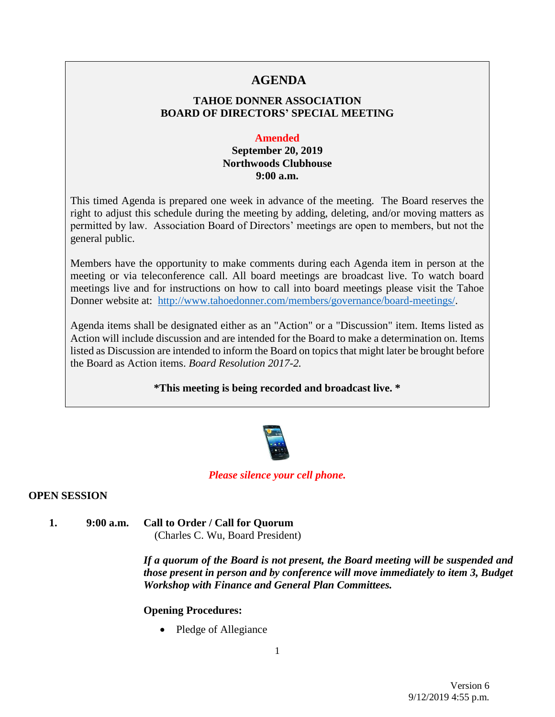# **AGENDA**

## **TAHOE DONNER ASSOCIATION BOARD OF DIRECTORS' SPECIAL MEETING**

#### **Amended**

## **September 20, 2019 Northwoods Clubhouse 9:00 a.m.**

This timed Agenda is prepared one week in advance of the meeting. The Board reserves the right to adjust this schedule during the meeting by adding, deleting, and/or moving matters as permitted by law. Association Board of Directors' meetings are open to members, but not the general public.

Members have the opportunity to make comments during each Agenda item in person at the meeting or via teleconference call. All board meetings are broadcast live. To watch board meetings live and for instructions on how to call into board meetings please visit the Tahoe Donner website at: [http://www.tahoedonner.com/members/governance/board-meetings/.](http://www.tahoedonner.com/members/governance/board-meetings/)

Agenda items shall be designated either as an "Action" or a "Discussion" item. Items listed as Action will include discussion and are intended for the Board to make a determination on. Items listed as Discussion are intended to inform the Board on topics that might later be brought before the Board as Action items. *Board Resolution 2017-2.*

**\*This meeting is being recorded and broadcast live. \***



### *Please silence your cell phone.*

### **OPEN SESSION**

**1. 9:00 a.m. Call to Order / Call for Quorum** (Charles C. Wu, Board President)

> *If a quorum of the Board is not present, the Board meeting will be suspended and those present in person and by conference will move immediately to item 3, Budget Workshop with Finance and General Plan Committees.*

#### **Opening Procedures:**

• Pledge of Allegiance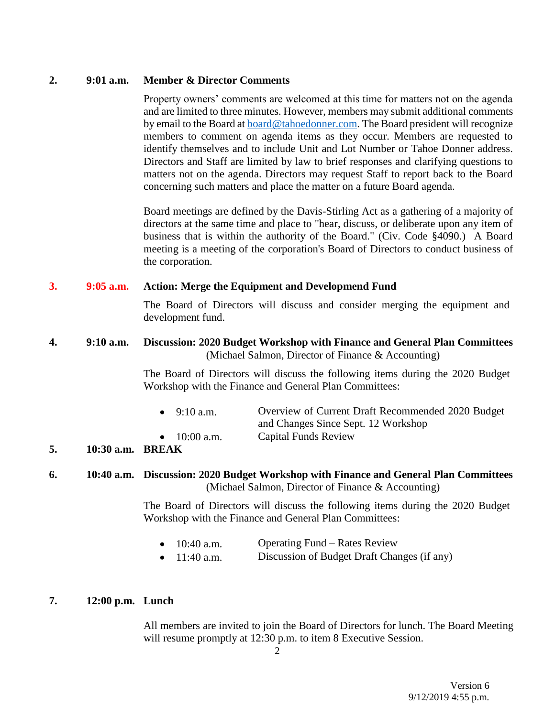### **2. 9:01 a.m. Member & Director Comments**

Property owners' comments are welcomed at this time for matters not on the agenda and are limited to three minutes. However, members may submit additional comments by email to the Board at [board@tahoedonner.com.](mailto:board@tahoedonner.com) The Board president will recognize members to comment on agenda items as they occur. Members are requested to identify themselves and to include Unit and Lot Number or Tahoe Donner address. Directors and Staff are limited by law to brief responses and clarifying questions to matters not on the agenda. Directors may request Staff to report back to the Board concerning such matters and place the matter on a future Board agenda.

Board meetings are defined by the Davis-Stirling Act as a gathering of a majority of directors at the same time and place to "hear, discuss, or deliberate upon any item of business that is within the authority of the Board." (Civ. Code §4090.) A Board meeting is a meeting of the corporation's Board of Directors to conduct business of the corporation.

### **3. 9:05 a.m. Action: Merge the Equipment and Developmend Fund**

The Board of Directors will discuss and consider merging the equipment and development fund.

#### **4. 9:10 a.m. Discussion: 2020 Budget Workshop with Finance and General Plan Committees** (Michael Salmon, Director of Finance & Accounting)

The Board of Directors will discuss the following items during the 2020 Budget Workshop with the Finance and General Plan Committees:

| --- |                |                                                   |
|-----|----------------|---------------------------------------------------|
|     | • $10:00$ a.m. | <b>Capital Funds Review</b>                       |
|     |                | and Changes Since Sept. 12 Workshop               |
|     | • $9:10$ a.m.  | Overview of Current Draft Recommended 2020 Budget |

### **5. 10:30 a.m. BREAK**

#### **6. 10:40 a.m. Discussion: 2020 Budget Workshop with Finance and General Plan Committees** (Michael Salmon, Director of Finance & Accounting)

The Board of Directors will discuss the following items during the 2020 Budget Workshop with the Finance and General Plan Committees:

- 10:40 a.m. Operating Fund Rates Review
- 11:40 a.m. Discussion of Budget Draft Changes (if any)

#### **7. 12:00 p.m. Lunch**

All members are invited to join the Board of Directors for lunch. The Board Meeting will resume promptly at 12:30 p.m. to item 8 Executive Session.